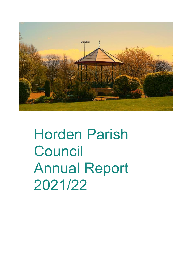

Horden Parish **Council** Annual Report 2021/22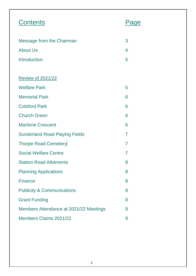| <b>Contents</b>                        |                |
|----------------------------------------|----------------|
| <b>Message from the Chairman</b>       | 3              |
| <b>About Us</b>                        | 4              |
| <b>Introduction</b>                    | 5              |
|                                        |                |
| <b>Review of 2021/22</b>               |                |
| <b>Welfare Park</b>                    | 5              |
| <b>Memorial Park</b>                   | 6              |
| <b>Cotsford Park</b>                   | 6              |
| <b>Church Green</b>                    | 6              |
| <b>Maritime Crescent</b>               | 6              |
| <b>Sunderland Road Playing Fields</b>  | $\overline{7}$ |
| <b>Thorpe Road Cemetery</b>            | $\overline{7}$ |
| <b>Social Welfare Centre</b>           | $\overline{7}$ |
| <b>Station Road Allotments</b>         | 8              |
| <b>Planning Applications</b>           | 8              |
| <b>Finance</b>                         | 8              |
| <b>Publicity &amp; Communications</b>  | 8              |
| <b>Grant Funding</b>                   | 8              |
| Members Attendance at 2021/22 Meetings | 9              |
| Members Claims 2021/22                 | 9              |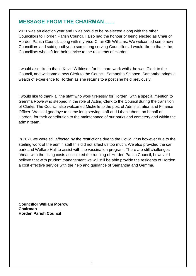# **MESSAGE FROM THE CHAIRMAN……**

2021 was an election year and I was proud to be re-elected along with the other Councillors to Horden Parish Council. I also had the honour of being elected as Chair of Horden Parish Council, along with my Vice-Chair Cllr Williams. We welcomed some new Councillors and said goodbye to some long serving Councillors. I would like to thank the Councillors who left for their service to the residents of Horden.

I would also like to thank Kevin Wilkinson for his hard work whilst he was Clerk to the Council, and welcome a new Clerk to the Council, Samantha Shippen. Samantha brings a wealth of experience to Horden as she returns to a post she held previously.

I would like to thank all the staff who work tirelessly for Horden, with a special mention to Gemma Rowe who stepped in the role of Acting Clerk to the Council during the transition of Clerks. The Council also welcomed Michelle to the post of Administration and Finance Officer. We said goodbye to some long serving staff and I thank them, on behalf of Horden, for their contribution to the maintenance of our parks and cemetery and within the admin team.

In 2021 we were still affected by the restrictions due to the Covid virus however due to the sterling work of the admin staff this did not affect us too much. We also provided the car park and Welfare Hall to assist with the vaccination program. There are still challenges ahead with the rising costs associated the running of Horden Parish Council, however I believe that with prudent management we will still be able provide the residents of Horden a cost effective service with the help and guidance of Samantha and Gemma.

**Councillor William Morrow Chairman Horden Parish Council**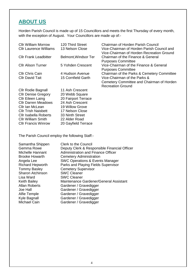# **ABOUT US**

Horden Parish Council is made up of 15 Councillors and meets the first Thursday of every month, with the exception of August. Your Councillors are made up of:-

| <b>CIIr William Morrow</b>    | 120 Third Street     | <b>Chairman of Horden Parish Council</b>                                                |
|-------------------------------|----------------------|-----------------------------------------------------------------------------------------|
| <b>CIIr Laurence Williams</b> | 13 Nelson Close      | Vice-Chairman of Horden Parish Council and<br>Vice-Chairman of Horden Recreation Ground |
| <b>CIIr Frank Leadbitter</b>  | Belmont, Windsor Ter | Chairman of the Finance & General                                                       |
|                               |                      | <b>Purposes Committee</b>                                                               |
| <b>Cllr Alison Turner</b>     | 5 Yohden Crescent    | Vice-Chairman of the Finance & General                                                  |
|                               |                      | <b>Purposes Committee</b>                                                               |
| <b>Cllr Chris Cain</b>        | 4 Hudson Avenue      | Chairman of the Parks & Cemetery Committee                                              |
| <b>Cllr David Tait</b>        | 15 Cornfield Garth   | Vice-Chairman of the Parks &                                                            |
|                               |                      | Cemetery Committee and Chairman of Horden                                               |
|                               |                      | <b>Recreation Ground</b>                                                                |
| <b>Cllr Rodie Bagnall</b>     | 11 Ash Crescent      |                                                                                         |
| <b>Cllr Denise Gregory</b>    | 20 Webb Square       |                                                                                         |
| <b>Cllr Eileen Laing</b>      | 20 Fairport Terrace  |                                                                                         |

The Parish Council employ the following Staff:-

Cllr Darren Meadows 24 Ash Crescent Cllr Ian McLean 19 Willow Grove Cllr Trish Naisbett 17 Nelson Close Cllr Isabella Roberts 33 Ninth Street<br>Cllr William Smith 22 Alder Road

**Cllr William Smith<br>Cllr Francis Winrow** 

| Samantha Shippen        | <b>Clerk to the Council</b>                  |
|-------------------------|----------------------------------------------|
| Gemma Rowe              | Deputy Clerk & Responsible Financial Officer |
| Michelle Hannant        | <b>Administration and Finance Officer</b>    |
| <b>Brooke Howarth</b>   | <b>Cemetery Administration</b>               |
| Angela Lee              | <b>SWC Operations &amp; Events Manager</b>   |
| <b>Richard Hepworth</b> | Parks and Playing Fields Supervisor          |
| <b>Tommy Basley</b>     | <b>Cemetery Supervisor</b>                   |
| <b>Sharon Atchinson</b> | <b>SWC Cleaner</b>                           |
| Lisa Ward               | <b>SWC Cleaner</b>                           |
| <b>Keith Bailey</b>     | Maintenance Gardener/General Assistant       |
| <b>Allan Roberts</b>    | Gardener / Gravedigger                       |
| Joe Hall                | Gardener / Gravedigger                       |
| Alfie Temple            | Gardener / Gravedigger                       |
| Kyle Bagnall            | Gardener / Gravedigger                       |
| <b>Michael Cain</b>     | Gardener / Gravedigger                       |
|                         |                                              |

20 Gayfield Terrace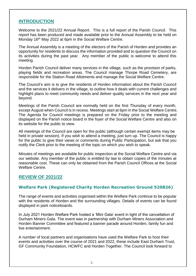# **INTRODUCTION**

Welcome to the 2021/22 Annual Report. This is a full report of the Parish Council. This report has been produced and made available prior to the Annual Assembly to be held on Monday 16<sup>th</sup> May 2022 at 6pm in the Social Welfare Centre.

The Annual Assembly is a meeting of the electors of the Parish of Horden and provides an opportunity for residents to discuss the information provided and to question the Council on its activities during the past year. Any member of the public is welcome to attend this meeting.

Horden Parish Council deliver many services in the village, such as the provision of parks, playing fields and recreation areas. The Council manage Thorpe Road Cemetery, are responsible for the Station Road Allotments and manage the Social Welfare Centre.

The Council's aim is to give the residents of Horden information about the Parish Council and the services it delivers in the village, to outline how it deals with current challenges and highlight plans to meet community needs and deliver quality services in the next year and beyond.

Meetings of the Parish Council are normally held on the first Thursday of every month, except August when Council is in recess. Meetings start at 6pm in the Social Welfare Centre. The Agenda for Council meetings is prepared on the Friday prior to the meeting and displayed on the Parish notice board in the foyer of the Social Welfare Centre and also on its website for the public to view.

All meetings of the Council are open for the public (although certain exempt items may be held in private session). If you wish to attend a meeting, just turn up. The Council is happy for the public to give their views or comments during Public Participation, but ask that you notify the Clerk prior to the meeting of the topic on which you wish to speak.

Minutes of meetings are available for public inspection at the Social Welfare Centre and via our website. Any member of the public is entitled by law to obtain copies of the minutes at reasonable cost. These can only be obtained from the Parish Council Offices at the Social Welfare Centre.

# **REVIEW OF 2021/22**

# **Welfare Park (Registered Charity Horden Recreation Ground 520826)**

The range of events and activities organised within the Welfare Park continue to be popular with the residents of Horden and the surrounding villages. Details of events can be found displayed in park noticeboards.

In July 2021 Horden Welfare Park hosted a 'Mini Gala' event in light of the cancellation of Durham Miners Gala. The event was in partnership with Durham Miners Association and Horden Banner Committee and featured a banner parade around Horden, family fun and live entertainment.

A number of local partners and organisations have used the Welfare Park to host their events and activities over the course of 2021 and 2022, these include East Durham Trust, GF Community Foundation, HCWFC and Horden Together. The Council look forward to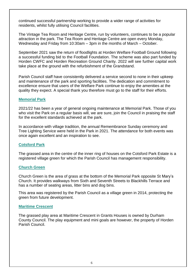continued successful partnership working to provide a wider range of activities for residents, whilst fully utilising Council facilities.

The Vintage Tea Room and Heritage Centre, run by volunteers, continues to be a popular attraction in the park. The Tea Room and Heritage Centre are open every Monday, Wednesday and Friday from 10:30am – 3pm in the months of March – October.

September 2021 saw the return of floodlights at Horden Welfare Football Ground following a successful funding bid to the Football Foundation. The scheme was also part funded by Horden CWFC and Horden Recreation Ground Charity. 2022 will see further capital work take place at the ground with the refurbishment of the Grandstand.

Parish Council staff have consistently delivered a service second to none in their upkeep and maintenance of the park and sporting facilities. The dedication and commitment to excellence ensure that users of the Welfare Park continue to enjoy the amenities at the quality they expect. A special thank you therefore must go to the staff for their efforts.

## **Memorial Park**

2021/22 has been a year of general ongoing maintenance at Memorial Park. Those of you who visit the Park on a regular basis will, we are sure, join the Council in praising the staff for the excellent standards achieved at the park.

In accordance with village tradition, the annual Remembrance Sunday ceremony and Tree Lighting Service were held in the Park in 2021. The attendance for both events was once again excellent and an inspiration to see.

### **Cotsford Park**

The grassed area in the centre of the inner ring of houses on the Cotsford Park Estate is a registered village green for which the Parish Council has management responsibility.

### **Church Green**

Church Green is the area of grass at the bottom of the Memorial Park opposite St Mary's Church. It provides walkways from Sixth and Seventh Streets to Blackhills Terrace and has a number of seating areas, litter bins and dog bins.

This area was registered by the Parish Council as a village green in 2014, protecting the green from future development.

### **Maritime Crescent**

The grassed play area at Maritime Crescent in Grants Houses is owned by Durham County Council. The play equipment and mini goals are however, the property of Horden Parish Council.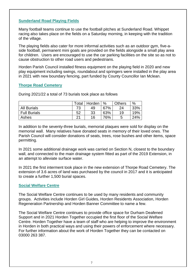# **Sunderland Road Playing Fields**

Many football teams continue to use the football pitches at Sunderland Road. Whippet racing also takes place on the fields on a Saturday morning, in keeping with the tradition of the village.

The playing fields also cater for more informal activities such as an outdoor gym, five-aside football, permanent mini goals are provided on the fields alongside a small play area for children. Users are encouraged to use the car parking facilities on the site so as not to cause obstruction to other road users and pedestrians.

Horden Parish Council installed fitness equipment on the playing field in 2020 and new play equipment including swings, roundabout and springers were installed in the play area in 2021 with new boundary fencing, part funded by County Councillor Ian Mclean.

# **Thorpe Road Cemetery**

During 2021/22 a total of 73 burials took place as follows

|                     | Total | Horden | $\frac{0}{0}$ | <b>Others</b> | %   |
|---------------------|-------|--------|---------------|---------------|-----|
| <b>All Burials</b>  | 73    | 49     | 67%           | 24            | 33% |
| <b>Full Burials</b> | 52    | 33     | 63%           | 19            | 19% |
| Ashes               | つ1    | 16     | 76%           | 5             | 24% |

In addition to the seventy-three burials, memorial plaques were sold for display on the memorial wall. Many relatives have donated seats in memory of their loved ones. The Parish Council will consider donations of seats, trees, rose bushes and other items, space permitting.

In 2021 some additional drainage work was carried on Section N, closest to the boundary wall, and connected to the main drainage system fitted as part of the 2019 Extension, in an attempt to alleviate surface water.

In 2021 the first interment took place in the new extension of Thorpe Road Cemetery. The extension of 3.6 acres of land was purchased by the council in 2017 and it is anticipated to create a further 1,500 burial spaces.

# **Social Welfare Centre**

The Social Welfare Centre continues to be used by many residents and community groups. Activities include Horden Girl Guides, Horden Residents Association, Horden Regeneration Partnership and Horden Banner Committee to name a few.

The Social Welfare Centre continues to provide office space for Durham Deafened Support and in 2021 Horden Together occupied the first floor of the Social Welfare Centre. Horden Together have a team of staff who are helping to improve the environment in Horden in both practical ways and using their powers of enforcement where necessary. For further information about the work of Horden Together they can be contacted on 03000 263 387.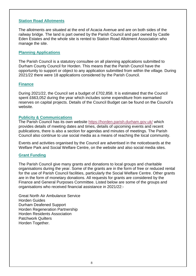## **Station Road Allotments**

The allotments are situated at the end of Acacia Avenue and are on both sides of the railway bridge. The land is part owned by the Parish Council and part owned by Castle Eden Estates and the whole site is rented to Station Road Allotment Association who manage the site.

## **Planning Applications**

The Parish Council is a statutory consultee on all planning applications submitted to Durham County Council for Horden. This means that the Parish Council have the opportunity to support or object to any application submitted from within the village. During 2021/22 there were 18 applications considered by the Parish Council.

### **Finance**

During 2021/22, the Council set a budget of £702,858. It is estimated that the Council spent £663,052 during the year which includes some expenditure from earmarked reserves on capital projects. Details of the Council Budget can be found on the Council's website.

### **Publicity & Communications**

The Parish Council has its own website<https://horden.parish.durham.gov.uk/> which provides details of meeting dates and times, details of upcoming events and recent publications, there is also a section for agendas and minutes of meetings. The Parish Council also continue to use social media as a means of reaching the local community.

Events and activities organised by the Council are advertised in the noticeboards at the Welfare Park and Social Welfare Centre, on the website and also social media sites.

### **Grant Funding**

The Parish Council give many grants and donations to local groups and charitable organisations during the year. Some of the grants are in the form of free or reduced rental for the use of Parish Council facilities, particularly the Social Welfare Centre. Other grants are in the form of monetary donations. All requests for grants are considered by the Finance and General Purposes Committee. Listed below are some of the groups and organisations who received financial assistance in 2021/22:-

Great North Air Ambulance Service Horden Guides Durham Deafened Support Horden Regeneration Partnership Horden Residents Association Patchwork Quilters Horden Together.